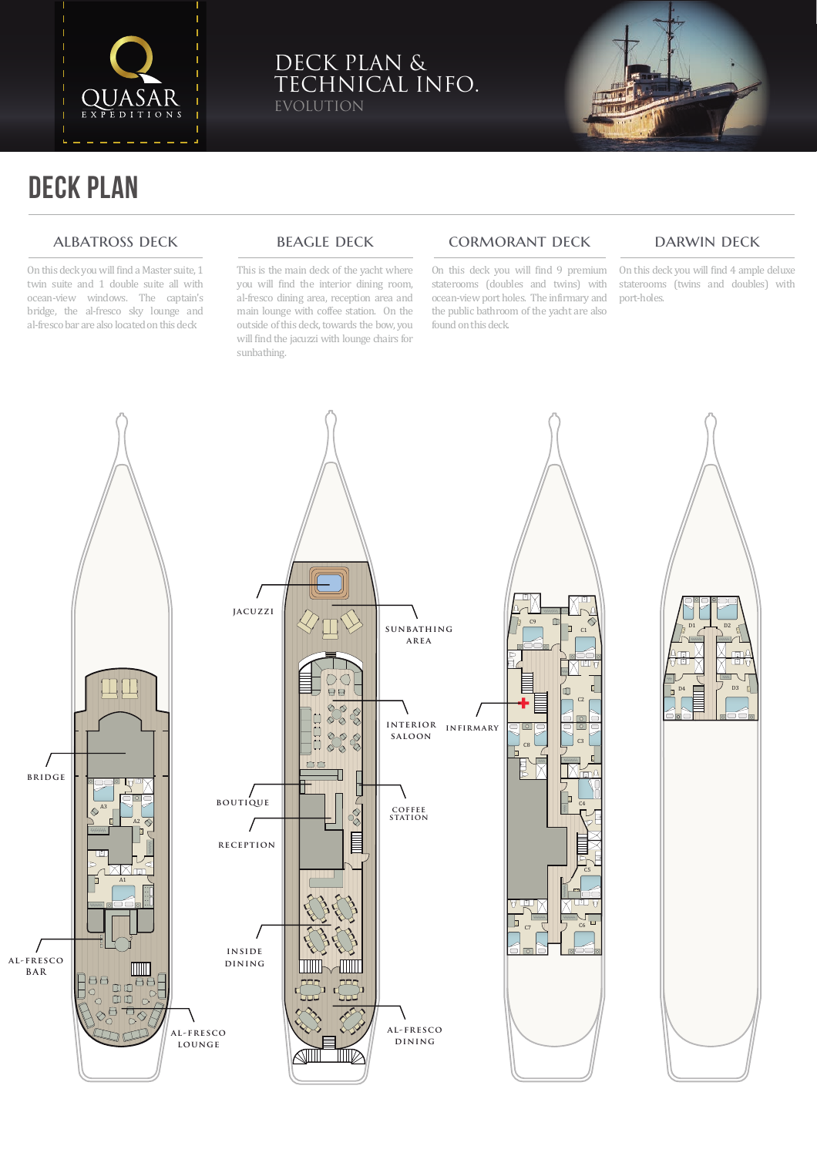

## DECK PLAN & TECHNICAL INFO. **OLUTION**



# DECK PLAN

#### ALBATROSS DECK

On this deck you will �ind a Master suite, 1 twin suite and 1 double suite all with ocean-view windows. The captain's bridge, the al-fresco sky lounge and al-fresco bar are also located on this deck

#### **BEAGLE DECK**

This is the main deck of the yacht where you will find the interior dining room, al-fresco dining area, reception area and main lounge with coffee station. On the outside of this deck, towards the bow, you will find the jacuzzi with lounge chairs for sunbathing.

### cormorant deck

On this deck you will �ind 9 premium staterooms (doubles and twins) with ocean-view port holes. The in�irmary and the public bathroom of the yacht are also found on this deck.

#### darwin deck

On this deck you will �ind 4 ample deluxe staterooms (twins and doubles) with port-holes.